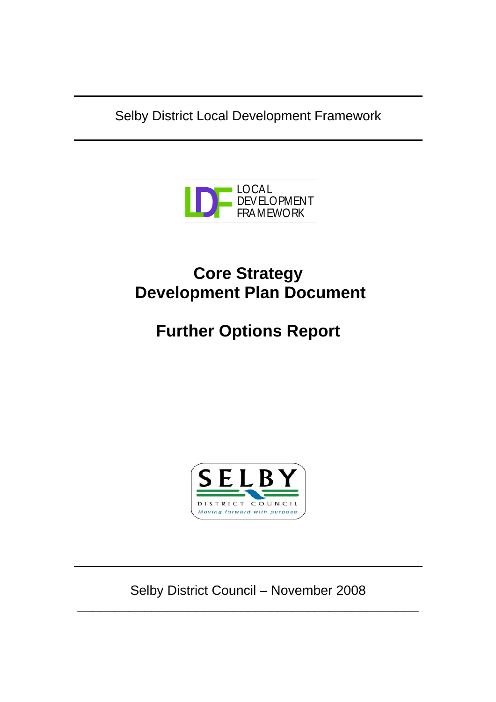Selby District Local Development Framework



# **Core Strategy Development Plan Document**

# **Further Options Report**



Selby District Council – November 2008 **\_\_\_\_\_\_\_\_\_\_\_\_\_\_\_\_\_\_\_\_\_\_\_\_\_\_\_\_\_\_\_\_\_\_\_\_\_\_\_\_\_\_\_\_\_\_**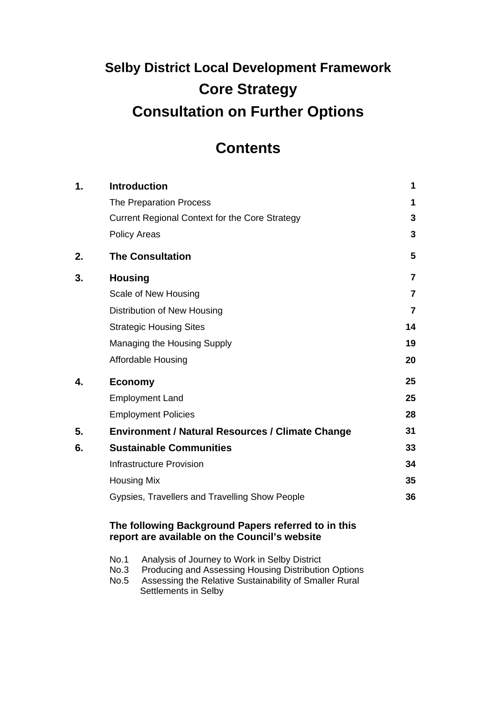# **Selby District Local Development Framework Core Strategy Consultation on Further Options**

# **Contents**

| $\mathbf 1$ . | <b>Introduction</b>                                   |                |  |  |
|---------------|-------------------------------------------------------|----------------|--|--|
|               | The Preparation Process                               | 1              |  |  |
|               | <b>Current Regional Context for the Core Strategy</b> | 3              |  |  |
|               | <b>Policy Areas</b>                                   | 3              |  |  |
| 2.            | <b>The Consultation</b>                               | 5              |  |  |
| 3.            | <b>Housing</b>                                        | $\overline{7}$ |  |  |
|               | Scale of New Housing                                  | 7              |  |  |
|               | Distribution of New Housing                           | 7              |  |  |
|               | <b>Strategic Housing Sites</b>                        |                |  |  |
|               | Managing the Housing Supply                           | 19             |  |  |
|               | Affordable Housing                                    | 20             |  |  |
| 4.            | <b>Economy</b>                                        | 25             |  |  |
|               | <b>Employment Land</b>                                | 25             |  |  |
|               | <b>Employment Policies</b>                            | 28             |  |  |
| 5.            | Environment / Natural Resources / Climate Change      | 31             |  |  |
| 6.            | <b>Sustainable Communities</b>                        | 33             |  |  |
|               | <b>Infrastructure Provision</b>                       | 34             |  |  |
|               | <b>Housing Mix</b>                                    | 35             |  |  |
|               | Gypsies, Travellers and Travelling Show People        | 36             |  |  |
|               |                                                       |                |  |  |

## **The following Background Papers referred to in this report are available on the Council's website**

- No.1 Analysis of Journey to Work in Selby District
- No.3 Producing and Assessing Housing Distribution Options
- No.5 Assessing the Relative Sustainability of Smaller Rural Settlements in Selby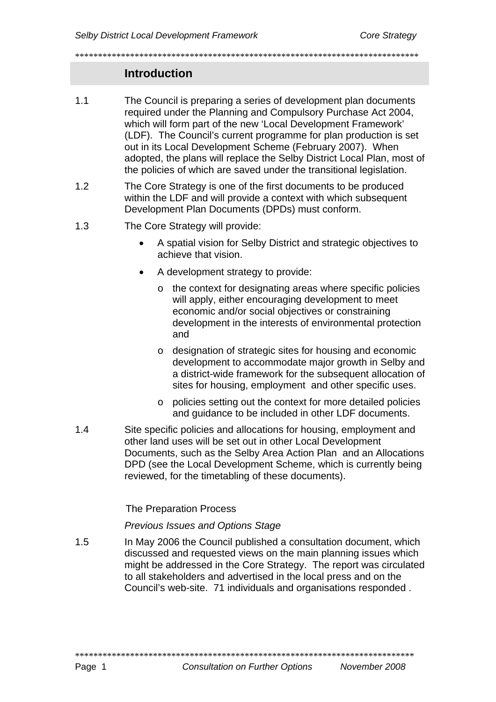# **Introduction**

- The Council is preparing a series of development plan documents  $1.1$ required under the Planning and Compulsory Purchase Act 2004, which will form part of the new 'Local Development Framework' (LDF). The Council's current programme for plan production is set out in its Local Development Scheme (February 2007). When adopted, the plans will replace the Selby District Local Plan, most of the policies of which are saved under the transitional legislation.
- $1.2$ The Core Strategy is one of the first documents to be produced within the LDF and will provide a context with which subsequent Development Plan Documents (DPDs) must conform.
- $1.3$ The Core Strategy will provide:
	- A spatial vision for Selby District and strategic objectives to  $\bullet$ achieve that vision.
	- A development strategy to provide:
		- the context for designating areas where specific policies  $\circ$ will apply, either encouraging development to meet economic and/or social objectives or constraining development in the interests of environmental protection and
		- o designation of strategic sites for housing and economic development to accommodate major growth in Selby and a district-wide framework for the subsequent allocation of sites for housing, employment and other specific uses.
		- o policies setting out the context for more detailed policies and guidance to be included in other LDF documents.
- $1.4$ Site specific policies and allocations for housing, employment and other land uses will be set out in other Local Development Documents, such as the Selby Area Action Plan and an Allocations DPD (see the Local Development Scheme, which is currently being reviewed, for the timetabling of these documents).

**The Preparation Process** 

**Previous Issues and Options Stage** 

 $1.5$ In May 2006 the Council published a consultation document, which discussed and requested views on the main planning issues which might be addressed in the Core Strategy. The report was circulated to all stakeholders and advertised in the local press and on the Council's web-site. 71 individuals and organisations responded.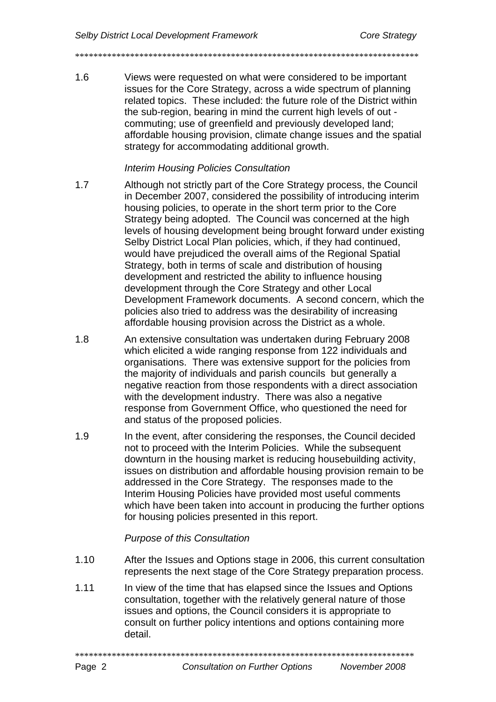\*\*\*\*\*\*\*\*\*\*\*\*\*\*\*\*\*\*\*\*\*\*\*\*\*\*\*\*\*\*\*\*\*\*\*\*\*\*\*\*\*\*\*\*\*\*\*\*\*\*\*\*\*\*\*\*\*\*\*\*\*\*\*\*\*\*\*\*\*\*\*\*\*\*\*

1.6 Views were requested on what were considered to be important issues for the Core Strategy, across a wide spectrum of planning related topics. These included: the future role of the District within the sub-region, bearing in mind the current high levels of out commuting; use of greenfield and previously developed land; affordable housing provision, climate change issues and the spatial strategy for accommodating additional growth.

#### *Interim Housing Policies Consultation*

- 1.7 Although not strictly part of the Core Strategy process, the Council in December 2007, considered the possibility of introducing interim housing policies, to operate in the short term prior to the Core Strategy being adopted. The Council was concerned at the high levels of housing development being brought forward under existing Selby District Local Plan policies, which, if they had continued, would have prejudiced the overall aims of the Regional Spatial Strategy, both in terms of scale and distribution of housing development and restricted the ability to influence housing development through the Core Strategy and other Local Development Framework documents. A second concern, which the policies also tried to address was the desirability of increasing affordable housing provision across the District as a whole.
- 1.8 An extensive consultation was undertaken during February 2008 which elicited a wide ranging response from 122 individuals and organisations. There was extensive support for the policies from the majority of individuals and parish councils but generally a negative reaction from those respondents with a direct association with the development industry. There was also a negative response from Government Office, who questioned the need for and status of the proposed policies.
- 1.9 In the event, after considering the responses, the Council decided not to proceed with the Interim Policies. While the subsequent downturn in the housing market is reducing housebuilding activity, issues on distribution and affordable housing provision remain to be addressed in the Core Strategy. The responses made to the Interim Housing Policies have provided most useful comments which have been taken into account in producing the further options for housing policies presented in this report.

#### *Purpose of this Consultation*

- 1.10 After the Issues and Options stage in 2006, this current consultation represents the next stage of the Core Strategy preparation process.
- 1.11 In view of the time that has elapsed since the Issues and Options consultation, together with the relatively general nature of those issues and options, the Council considers it is appropriate to consult on further policy intentions and options containing more detail.

\*\*\*\*\*\*\*\*\*\*\*\*\*\*\*\*\*\*\*\*\*\*\*\*\*\*\*\*\*\*\*\*\*\*\*\*\*\*\*\*\*\*\*\*\*\*\*\*\*\*\*\*\*\*\*\*\*\*\*\*\*\*\*\*\*\*\*\*\*\*\*\*\*\*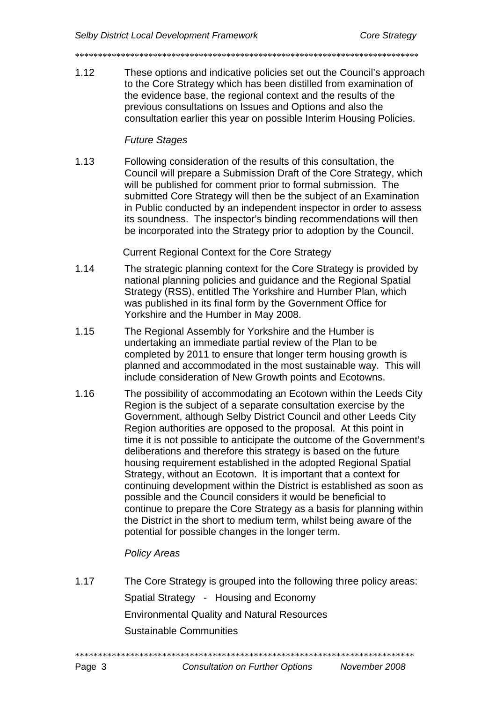- 
- $112$ These options and indicative policies set out the Council's approach to the Core Strategy which has been distilled from examination of the evidence base, the regional context and the results of the previous consultations on Issues and Options and also the consultation earlier this year on possible Interim Housing Policies.

#### **Future Stages**

 $1.13$ Following consideration of the results of this consultation, the Council will prepare a Submission Draft of the Core Strategy, which will be published for comment prior to formal submission. The submitted Core Strategy will then be the subject of an Examination in Public conducted by an independent inspector in order to assess its soundness. The inspector's binding recommendations will then be incorporated into the Strategy prior to adoption by the Council.

**Current Regional Context for the Core Strategy** 

- $1.14$ The strategic planning context for the Core Strategy is provided by national planning policies and guidance and the Regional Spatial Strategy (RSS), entitled The Yorkshire and Humber Plan, which was published in its final form by the Government Office for Yorkshire and the Humber in May 2008.
- $1.15$ The Regional Assembly for Yorkshire and the Humber is undertaking an immediate partial review of the Plan to be completed by 2011 to ensure that longer term housing growth is planned and accommodated in the most sustainable way. This will include consideration of New Growth points and Ecotowns.
- 1 16 The possibility of accommodating an Ecotown within the Leeds City Region is the subject of a separate consultation exercise by the Government, although Selby District Council and other Leeds City Region authorities are opposed to the proposal. At this point in time it is not possible to anticipate the outcome of the Government's deliberations and therefore this strategy is based on the future housing requirement established in the adopted Regional Spatial Strategy, without an Ecotown. It is important that a context for continuing development within the District is established as soon as possible and the Council considers it would be beneficial to continue to prepare the Core Strategy as a basis for planning within the District in the short to medium term, whilst being aware of the potential for possible changes in the longer term.

# **Policy Areas**

 $117$ The Core Strategy is grouped into the following three policy areas: Spatial Strategy - Housing and Economy **Environmental Quality and Natural Resources Sustainable Communities**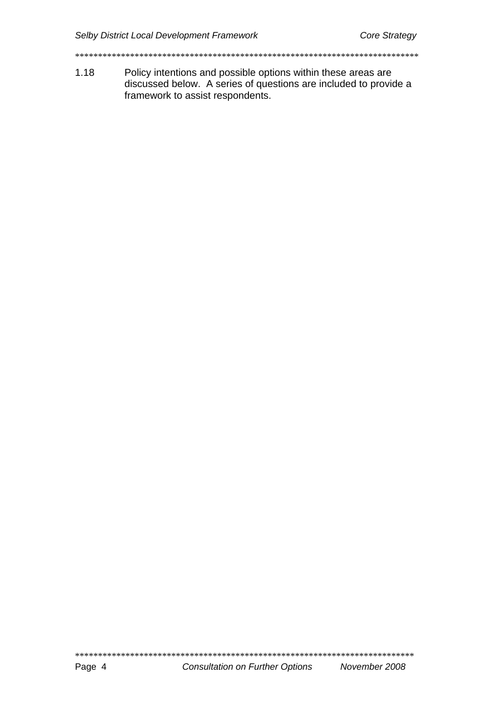$1.18$ Policy intentions and possible options within these areas are discussed below. A series of questions are included to provide a framework to assist respondents.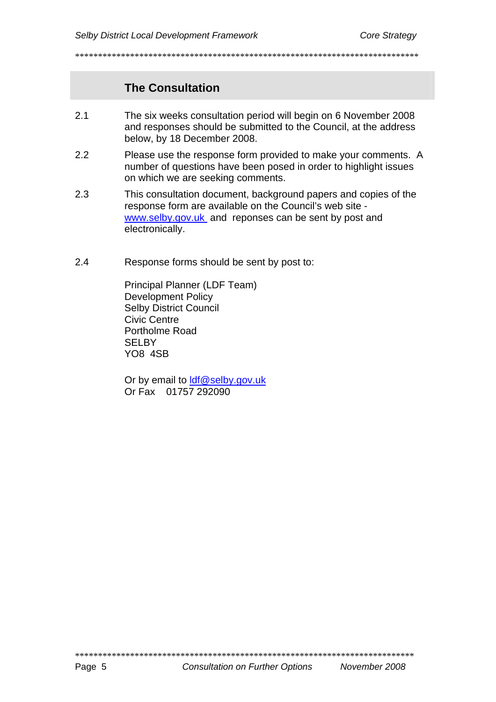# **The Consultation**

- $2.1$ The six weeks consultation period will begin on 6 November 2008 and responses should be submitted to the Council, at the address below, by 18 December 2008.
- $22$ Please use the response form provided to make your comments. A number of questions have been posed in order to highlight issues on which we are seeking comments.
- $2.3$ This consultation document, background papers and copies of the response form are available on the Council's web site www.selby.gov.uk and reponses can be sent by post and electronically.
- $2.4$ Response forms should be sent by post to:

Principal Planner (LDF Team) **Development Policy Selby District Council Civic Centre** Portholme Road **SELBY YO8 4SB** 

Or by email to Idf@selby.gov.uk Or Fax 01757 292090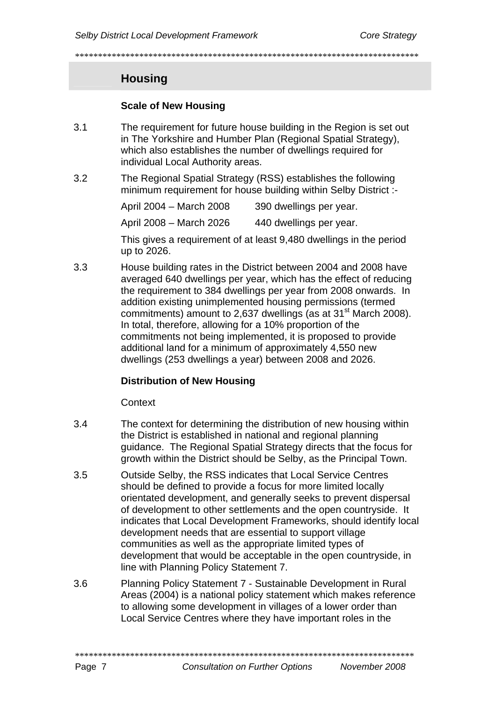\*\*\*\*\*\*\*\*\*\*\*\*\*\*\*\*\*\*\*\*\*\*\*\*\*\*\*\*\*\*\*\*\*\*\*\*\*\*\*\*\*\*\*\*\*\*\*\*\*\*\*\*\*\*\*\*\*\*\*\*\*\*\*\*\*\*\*\*\*\*\*\*\*\*\*

# **Housing**

### **Scale of New Housing**

- 3.1 The requirement for future house building in the Region is set out in The Yorkshire and Humber Plan (Regional Spatial Strategy), which also establishes the number of dwellings required for individual Local Authority areas.
- 3.2 The Regional Spatial Strategy (RSS) establishes the following minimum requirement for house building within Selby District :-

| April 2004 – March 2008                                     | 390 dwellings per year. |
|-------------------------------------------------------------|-------------------------|
| April 2008 – March 2026                                     | 440 dwellings per year. |
| This gives a requirement of at least 0,480 dwellings in the |                         |

This gives a requirement of at least 9,480 dwellings in the period up to 2026.

3.3 House building rates in the District between 2004 and 2008 have averaged 640 dwellings per year, which has the effect of reducing the requirement to 384 dwellings per year from 2008 onwards. In addition existing unimplemented housing permissions (termed commitments) amount to 2,637 dwellings (as at  $31<sup>st</sup>$  March 2008). In total, therefore, allowing for a 10% proportion of the commitments not being implemented, it is proposed to provide additional land for a minimum of approximately 4,550 new dwellings (253 dwellings a year) between 2008 and 2026.

#### **Distribution of New Housing**

Context

- 3.4 The context for determining the distribution of new housing within the District is established in national and regional planning guidance. The Regional Spatial Strategy directs that the focus for growth within the District should be Selby, as the Principal Town.
- 3.5 Outside Selby, the RSS indicates that Local Service Centres should be defined to provide a focus for more limited locally orientated development, and generally seeks to prevent dispersal of development to other settlements and the open countryside. It indicates that Local Development Frameworks, should identify local development needs that are essential to support village communities as well as the appropriate limited types of development that would be acceptable in the open countryside, in line with Planning Policy Statement 7.
- 3.6 Planning Policy Statement 7 Sustainable Development in Rural Areas (2004) is a national policy statement which makes reference to allowing some development in villages of a lower order than Local Service Centres where they have important roles in the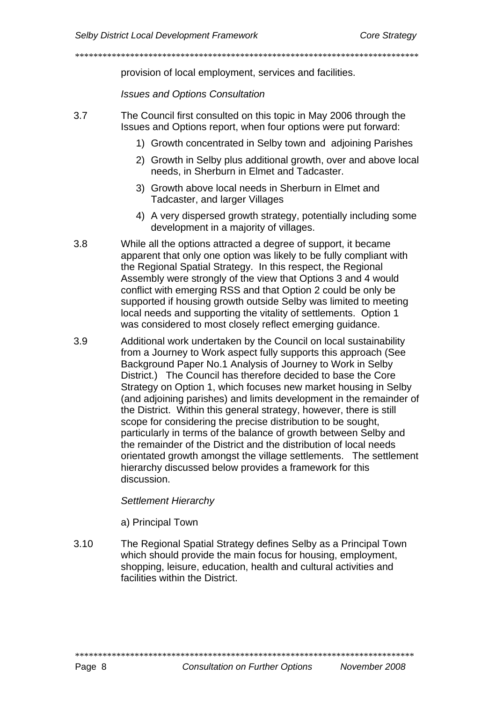provision of local employment, services and facilities.

**Issues and Options Consultation** 

- $3.7$ The Council first consulted on this topic in May 2006 through the Issues and Options report, when four options were put forward:
	- 1) Growth concentrated in Selby town and adjoining Parishes
	- 2) Growth in Selby plus additional growth, over and above local needs, in Sherburn in Elmet and Tadcaster.
	- 3) Growth above local needs in Sherburn in Elmet and Tadcaster, and larger Villages
	- 4) A very dispersed growth strategy, potentially including some development in a majority of villages.
- $3.8$ While all the options attracted a degree of support, it became apparent that only one option was likely to be fully compliant with the Regional Spatial Strategy. In this respect, the Regional Assembly were strongly of the view that Options 3 and 4 would conflict with emerging RSS and that Option 2 could be only be supported if housing growth outside Selby was limited to meeting local needs and supporting the vitality of settlements. Option 1 was considered to most closely reflect emerging quidance.
- 3.9 Additional work undertaken by the Council on local sustainability from a Journey to Work aspect fully supports this approach (See Background Paper No.1 Analysis of Journey to Work in Selby District.) The Council has therefore decided to base the Core Strategy on Option 1, which focuses new market housing in Selby (and adjoining parishes) and limits development in the remainder of the District. Within this general strategy, however, there is still scope for considering the precise distribution to be sought, particularly in terms of the balance of growth between Selby and the remainder of the District and the distribution of local needs orientated growth amongst the village settlements. The settlement hierarchy discussed below provides a framework for this discussion.

#### Settlement Hierarchy

a) Principal Town

 $3.10$ The Regional Spatial Strategy defines Selby as a Principal Town which should provide the main focus for housing, employment, shopping, leisure, education, health and cultural activities and facilities within the District

**Consultation on Further Options** 

November 2008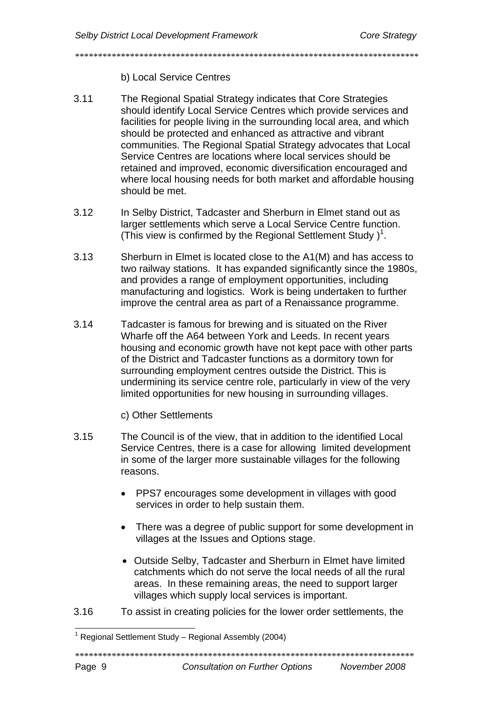\*\*\*\*\*\*\*\*\*\*\*\*\*\*\*\*\*\*\*\*\*\*\*\*\*\*\*\*\*\*\*\*\*\*\*\*\*\*\*\*\*\*\*\*\*\*\*\*\*\*\*\*\*\*\*\*\*\*\*\*\*\*\*\*\*\*\*\*\*\*\*\*\*\*\*

### b) Local Service Centres

- 3.11 The Regional Spatial Strategy indicates that Core Strategies should identify Local Service Centres which provide services and facilities for people living in the surrounding local area, and which should be protected and enhanced as attractive and vibrant communities. The Regional Spatial Strategy advocates that Local Service Centres are locations where local services should be retained and improved, economic diversification encouraged and where local housing needs for both market and affordable housing should be met.
- 3.12 In Selby District, Tadcaster and Sherburn in Elmet stand out as larger settlements which serve a Local Service Centre function. (This view is confirmed by the Regional Settlement Study[\)](#page-11-0)<sup>1</sup>.
- 3.13 Sherburn in Elmet is located close to the A1(M) and has access to two railway stations. It has expanded significantly since the 1980s, and provides a range of employment opportunities, including manufacturing and logistics. Work is being undertaken to further improve the central area as part of a Renaissance programme.
- 3.14 Tadcaster is famous for brewing and is situated on the River Wharfe off the A64 between York and Leeds. In recent years housing and economic growth have not kept pace with other parts of the District and Tadcaster functions as a dormitory town for surrounding employment centres outside the District. This is undermining its service centre role, particularly in view of the very limited opportunities for new housing in surrounding villages.

c) Other Settlements

- 3.15 The Council is of the view, that in addition to the identified Local Service Centres, there is a case for allowing limited development in some of the larger more sustainable villages for the following reasons.
	- PPS7 encourages some development in villages with good services in order to help sustain them.
	- There was a degree of public support for some development in villages at the Issues and Options stage.
	- Outside Selby, Tadcaster and Sherburn in Elmet have limited catchments which do not serve the local needs of all the rural areas. In these remaining areas, the need to support larger villages which supply local services is important.
- 3.16 To assist in creating policies for the lower order settlements, the

\*\*\*\*\*\*\*\*\*\*\*\*\*\*\*\*\*\*\*\*\*\*\*\*\*\*\*\*\*\*\*\*\*\*\*\*\*\*\*\*\*\*\*\*\*\*\*\*\*\*\*\*\*\*\*\*\*\*\*\*\*\*\*\*\*\*\*\*\*\*\*\*\*\*

<span id="page-11-0"></span>l <sup>1</sup> Regional Settlement Study – Regional Assembly (2004)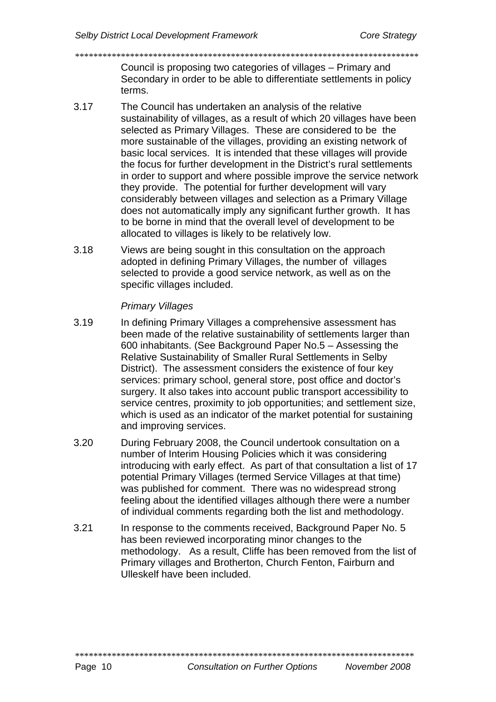Council is proposing two categories of villages – Primary and Secondary in order to be able to differentiate settlements in policy terms.

3.17 The Council has undertaken an analysis of the relative sustainability of villages, as a result of which 20 villages have been selected as Primary Villages. These are considered to be the more sustainable of the villages, providing an existing network of basic local services. It is intended that these villages will provide the focus for further development in the District's rural settlements in order to support and where possible improve the service network they provide. The potential for further development will vary considerably between villages and selection as a Primary Village does not automatically imply any significant further growth. It has to be borne in mind that the overall level of development to be allocated to villages is likely to be relatively low.

\*\*\*\*\*\*\*\*\*\*\*\*\*\*\*\*\*\*\*\*\*\*\*\*\*\*\*\*\*\*\*\*\*\*\*\*\*\*\*\*\*\*\*\*\*\*\*\*\*\*\*\*\*\*\*\*\*\*\*\*\*\*\*\*\*\*\*\*\*\*\*\*\*\*\*

3.18 Views are being sought in this consultation on the approach adopted in defining Primary Villages, the number of villages selected to provide a good service network, as well as on the specific villages included.

# *Primary Villages*

- 3.19 In defining Primary Villages a comprehensive assessment has been made of the relative sustainability of settlements larger than 600 inhabitants. (See Background Paper No.5 – Assessing the Relative Sustainability of Smaller Rural Settlements in Selby District). The assessment considers the existence of four key services: primary school, general store, post office and doctor's surgery. It also takes into account public transport accessibility to service centres, proximity to job opportunities; and settlement size, which is used as an indicator of the market potential for sustaining and improving services.
- 3.20 During February 2008, the Council undertook consultation on a number of Interim Housing Policies which it was considering introducing with early effect. As part of that consultation a list of 17 potential Primary Villages (termed Service Villages at that time) was published for comment. There was no widespread strong feeling about the identified villages although there were a number of individual comments regarding both the list and methodology.
- 3.21 In response to the comments received, Background Paper No. 5 has been reviewed incorporating minor changes to the methodology. As a result, Cliffe has been removed from the list of Primary villages and Brotherton, Church Fenton, Fairburn and Ulleskelf have been included.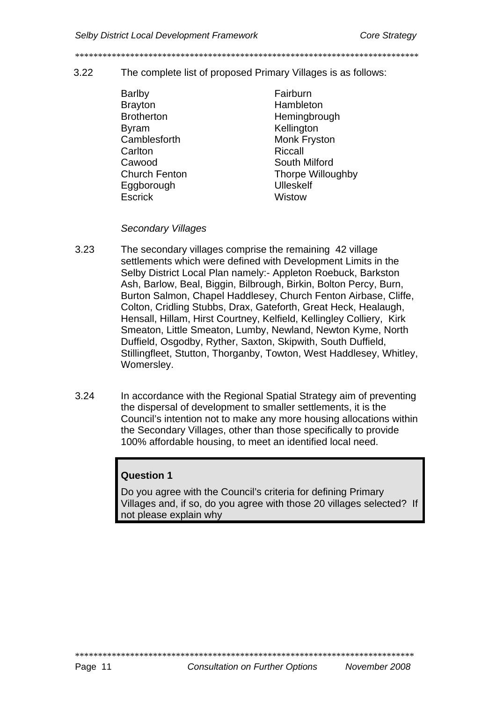#### $322$ The complete list of proposed Primary Villages is as follows:

Barlby **Brayton Brotherton B**vram Camblesforth Carlton Cawood **Church Fenton** Eaaborouah **Fscrick** 

Fairburn Hambleton Hemingbrough Kellinaton **Monk Fryston** Riccall South Milford Thorpe Willoughby **Ulleskelf** Wistow

#### **Secondary Villages**

- $3.23$ The secondary villages comprise the remaining 42 village settlements which were defined with Development Limits in the Selby District Local Plan namely: - Appleton Roebuck, Barkston Ash, Barlow, Beal, Biggin, Bilbrough, Birkin, Bolton Percy, Burn, Burton Salmon, Chapel Haddlesey, Church Fenton Airbase, Cliffe, Colton, Cridling Stubbs, Drax, Gateforth, Great Heck, Healaugh, Hensall, Hillam, Hirst Courtney, Kelfield, Kellingley Colliery, Kirk Smeaton, Little Smeaton, Lumby, Newland, Newton Kyme, North Duffield, Osgodby, Ryther, Saxton, Skipwith, South Duffield, Stillingfleet, Stutton, Thorganby, Towton, West Haddlesey, Whitley, Womersley.
- $3.24$ In accordance with the Regional Spatial Strategy aim of preventing the dispersal of development to smaller settlements, it is the Council's intention not to make any more housing allocations within the Secondary Villages, other than those specifically to provide 100% affordable housing, to meet an identified local need.

# **Question 1**

Do you agree with the Council's criteria for defining Primary Villages and, if so, do you agree with those 20 villages selected? If not please explain why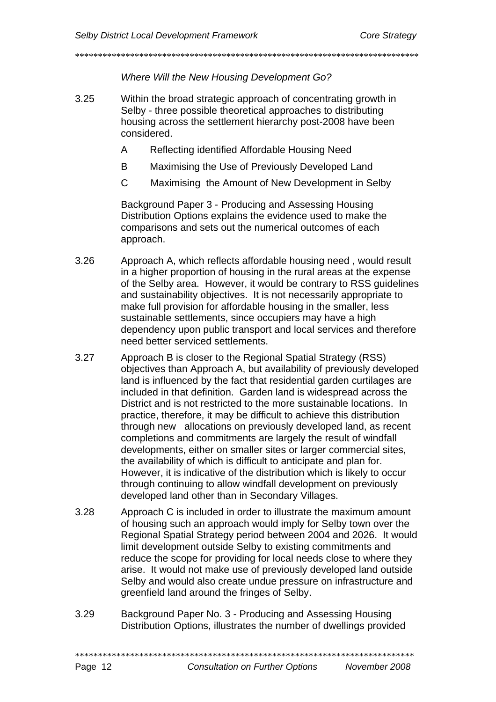\*\*\*\*\*\*\*\*\*\*\*\*\*\*\*\*\*\*\*\*\*\*\*\*\*\*\*\*\*\*\*\*\*\*\*\*\*\*\*\*\*\*\*\*\*\*\*\*\*\*\*\*\*\*\*\*\*\*\*\*\*\*\*\*\*\*\*\*\*\*\*\*\*\*\*

*Where Will the New Housing Development Go?* 

- 3.25 Within the broad strategic approach of concentrating growth in Selby - three possible theoretical approaches to distributing housing across the settlement hierarchy post-2008 have been considered.
	- A Reflecting identified Affordable Housing Need
	- B Maximising the Use of Previously Developed Land
	- C Maximising the Amount of New Development in Selby

Background Paper 3 - Producing and Assessing Housing Distribution Options explains the evidence used to make the comparisons and sets out the numerical outcomes of each approach.

- 3.26 Approach A, which reflects affordable housing need , would result in a higher proportion of housing in the rural areas at the expense of the Selby area. However, it would be contrary to RSS guidelines and sustainability objectives. It is not necessarily appropriate to make full provision for affordable housing in the smaller, less sustainable settlements, since occupiers may have a high dependency upon public transport and local services and therefore need better serviced settlements.
- 3.27 Approach B is closer to the Regional Spatial Strategy (RSS) objectives than Approach A, but availability of previously developed land is influenced by the fact that residential garden curtilages are included in that definition. Garden land is widespread across the District and is not restricted to the more sustainable locations. In practice, therefore, it may be difficult to achieve this distribution through new allocations on previously developed land, as recent completions and commitments are largely the result of windfall developments, either on smaller sites or larger commercial sites, the availability of which is difficult to anticipate and plan for. However, it is indicative of the distribution which is likely to occur through continuing to allow windfall development on previously developed land other than in Secondary Villages.
- 3.28 Approach C is included in order to illustrate the maximum amount of housing such an approach would imply for Selby town over the Regional Spatial Strategy period between 2004 and 2026. It would limit development outside Selby to existing commitments and reduce the scope for providing for local needs close to where they arise. It would not make use of previously developed land outside Selby and would also create undue pressure on infrastructure and greenfield land around the fringes of Selby.
- 3.29 Background Paper No. 3 Producing and Assessing Housing Distribution Options, illustrates the number of dwellings provided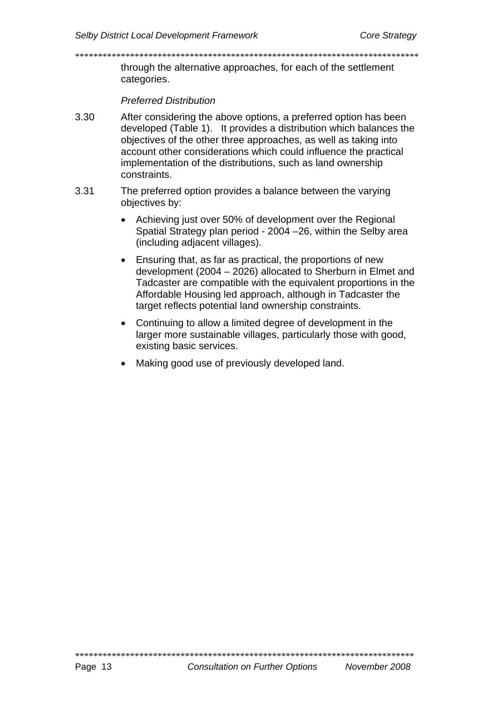through the alternative approaches, for each of the settlement categories.

**Preferred Distribution** 

- $3.30$ After considering the above options, a preferred option has been developed (Table 1). It provides a distribution which balances the obiectives of the other three approaches, as well as taking into account other considerations which could influence the practical implementation of the distributions, such as land ownership constraints.
- 3.31 The preferred option provides a balance between the varying objectives by:
	- Achieving just over 50% of development over the Regional  $\bullet$ Spatial Strategy plan period - 2004 - 26, within the Selby area (including adjacent villages).
	- Ensuring that, as far as practical, the proportions of new  $\bullet$ development (2004 - 2026) allocated to Sherburn in Elmet and Tadcaster are compatible with the equivalent proportions in the Affordable Housing led approach, although in Tadcaster the target reflects potential land ownership constraints.
	- Continuing to allow a limited degree of development in the larger more sustainable villages, particularly those with good, existing basic services.
	- Making good use of previously developed land.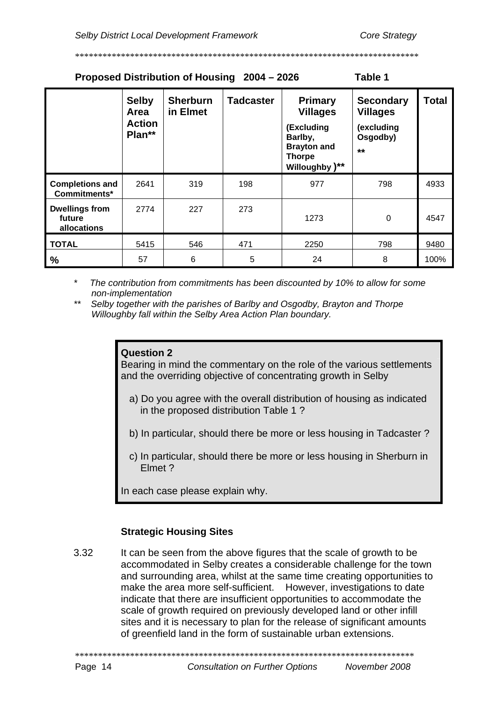| Proposed Distribution of Housing 2004 - 2026<br>Table 1 |                                                 |                             |                  |                                                                                                                     |                                                                       |              |  |  |  |
|---------------------------------------------------------|-------------------------------------------------|-----------------------------|------------------|---------------------------------------------------------------------------------------------------------------------|-----------------------------------------------------------------------|--------------|--|--|--|
|                                                         | <b>Selby</b><br>Area<br><b>Action</b><br>Plan** | <b>Sherburn</b><br>in Elmet | <b>Tadcaster</b> | <b>Primary</b><br><b>Villages</b><br>(Excluding<br>Barlby,<br><b>Brayton and</b><br><b>Thorpe</b><br>Willoughby )** | <b>Secondary</b><br><b>Villages</b><br>(excluding<br>Osgodby)<br>$**$ | <b>Total</b> |  |  |  |
| <b>Completions and</b><br>Commitments*                  | 2641                                            | 319                         | 198              | 977                                                                                                                 | 798                                                                   | 4933         |  |  |  |
| <b>Dwellings from</b><br>future<br>allocations          | 2774                                            | 227                         | 273              | 1273                                                                                                                | 0                                                                     | 4547         |  |  |  |
| <b>TOTAL</b>                                            | 5415                                            | 546                         | 471              | 2250                                                                                                                | 798                                                                   | 9480         |  |  |  |
| $\%$                                                    | 57                                              | 6                           | 5                | 24                                                                                                                  | 8                                                                     | 100%         |  |  |  |

The contribution from commitments has been discounted by 10% to allow for some non-implementation

 $***$ Selby together with the parishes of Barlby and Osgodby, Brayton and Thorpe Willoughby fall within the Selby Area Action Plan boundary.

#### Question 2

Bearing in mind the commentary on the role of the various settlements and the overriding objective of concentrating growth in Selby

- a) Do you agree with the overall distribution of housing as indicated in the proposed distribution Table 1?
- b) In particular, should there be more or less housing in Tadcaster?
- c) In particular, should there be more or less housing in Sherburn in Elmet ?

In each case please explain why.

#### **Strategic Housing Sites**

 $3.32$ It can be seen from the above figures that the scale of growth to be accommodated in Selby creates a considerable challenge for the town and surrounding area, whilst at the same time creating opportunities to make the area more self-sufficient. However, investigations to date indicate that there are insufficient opportunities to accommodate the scale of growth required on previously developed land or other infill sites and it is necessary to plan for the release of significant amounts of greenfield land in the form of sustainable urban extensions.

Page 14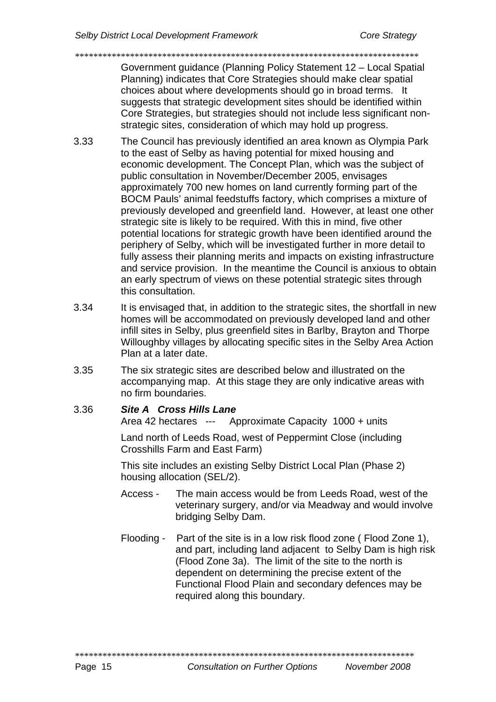Government guidance (Planning Policy Statement 12 – Local Spatial Planning) indicates that Core Strategies should make clear spatial choices about where developments should go in broad terms. It suggests that strategic development sites should be identified within Core Strategies, but strategies should not include less significant nonstrategic sites, consideration of which may hold up progress.

\*\*\*\*\*\*\*\*\*\*\*\*\*\*\*\*\*\*\*\*\*\*\*\*\*\*\*\*\*\*\*\*\*\*\*\*\*\*\*\*\*\*\*\*\*\*\*\*\*\*\*\*\*\*\*\*\*\*\*\*\*\*\*\*\*\*\*\*\*\*\*\*\*\*\*

- 3.33 The Council has previously identified an area known as Olympia Park to the east of Selby as having potential for mixed housing and economic development. The Concept Plan, which was the subject of public consultation in November/December 2005, envisages approximately 700 new homes on land currently forming part of the BOCM Pauls' animal feedstuffs factory, which comprises a mixture of previously developed and greenfield land. However, at least one other strategic site is likely to be required. With this in mind, five other potential locations for strategic growth have been identified around the periphery of Selby, which will be investigated further in more detail to fully assess their planning merits and impacts on existing infrastructure and service provision. In the meantime the Council is anxious to obtain an early spectrum of views on these potential strategic sites through this consultation.
- 3.34 It is envisaged that, in addition to the strategic sites, the shortfall in new homes will be accommodated on previously developed land and other infill sites in Selby, plus greenfield sites in Barlby, Brayton and Thorpe Willoughby villages by allocating specific sites in the Selby Area Action Plan at a later date.
- 3.35 The six strategic sites are described below and illustrated on the accompanying map. At this stage they are only indicative areas with no firm boundaries.

#### 3.36 *Site A Cross Hills Lane*

Area 42 hectares --- Approximate Capacity 1000 + units

Land north of Leeds Road, west of Peppermint Close (including Crosshills Farm and East Farm)

This site includes an existing Selby District Local Plan (Phase 2) housing allocation (SEL/2).

- Access The main access would be from Leeds Road, west of the veterinary surgery, and/or via Meadway and would involve bridging Selby Dam.
- Flooding Part of the site is in a low risk flood zone ( Flood Zone 1), and part, including land adjacent to Selby Dam is high risk (Flood Zone 3a). The limit of the site to the north is dependent on determining the precise extent of the Functional Flood Plain and secondary defences may be required along this boundary.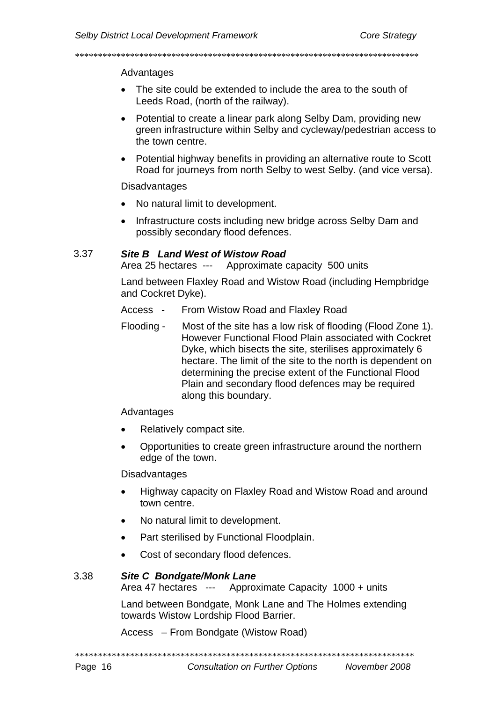#### \*\*\*\*\*\*\*\*\*\*\*\*\*\*\*\*\*\*\*\*\*\*\*\*\*\*\*\*\*\*\*\*\*\*\*\*\*\*\*\*\*\*\*\*\*\*\*\*\*\*\*\*\*\*\*\*\*\*\*\*\*\*\*\*\*\*\*\*\*\*\*\*\*\*\*

#### Advantages

- The site could be extended to include the area to the south of Leeds Road, (north of the railway).
- Potential to create a linear park along Selby Dam, providing new green infrastructure within Selby and cycleway/pedestrian access to the town centre.
- Potential highway benefits in providing an alternative route to Scott Road for journeys from north Selby to west Selby. (and vice versa).

#### Disadvantages

- No natural limit to development.
- Infrastructure costs including new bridge across Selby Dam and possibly secondary flood defences.

#### 3.37 *Site B Land West of Wistow Road*

Area 25 hectares --- Approximate capacity 500 units

Land between Flaxley Road and Wistow Road (including Hempbridge and Cockret Dyke).

- Access From Wistow Road and Flaxley Road
- Flooding Most of the site has a low risk of flooding (Flood Zone 1). However Functional Flood Plain associated with Cockret Dyke, which bisects the site, sterilises approximately 6 hectare. The limit of the site to the north is dependent on determining the precise extent of the Functional Flood Plain and secondary flood defences may be required along this boundary.

#### Advantages

- Relatively compact site.
- Opportunities to create green infrastructure around the northern edge of the town.

#### **Disadvantages**

- Highway capacity on Flaxley Road and Wistow Road and around town centre.
- No natural limit to development.
- Part sterilised by Functional Floodplain.
- Cost of secondary flood defences.

#### 3.38 *Site C Bondgate/Monk Lane*

Area 47 hectares --- Approximate Capacity 1000 + units

Land between Bondgate, Monk Lane and The Holmes extending towards Wistow Lordship Flood Barrier.

Access – From Bondgate (Wistow Road)

\*\*\*\*\*\*\*\*\*\*\*\*\*\*\*\*\*\*\*\*\*\*\*\*\*\*\*\*\*\*\*\*\*\*\*\*\*\*\*\*\*\*\*\*\*\*\*\*\*\*\*\*\*\*\*\*\*\*\*\*\*\*\*\*\*\*\*\*\*\*\*\*\*\*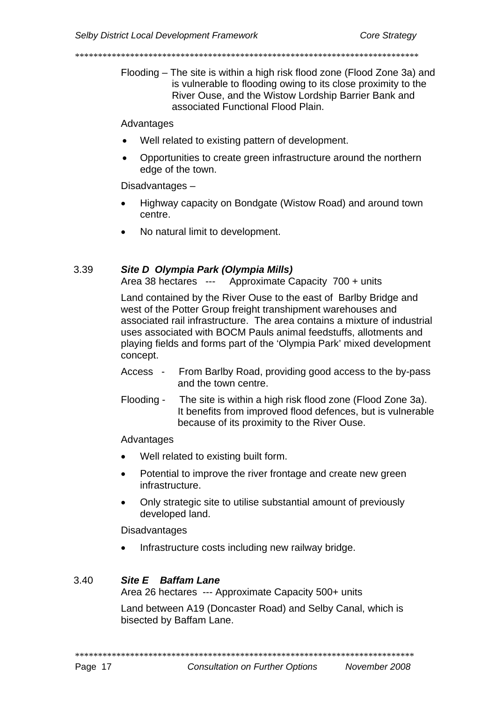Flooding – The site is within a high risk flood zone (Flood Zone 3a) and is vulnerable to flooding owing to its close proximity to the River Ouse, and the Wistow Lordship Barrier Bank and associated Functional Flood Plain.

Advantages

- Well related to existing pattern of development.
- Opportunities to create green infrastructure around the northern edge of the town.

Disadvantages-

- Highway capacity on Bondgate (Wistow Road) and around town centre.
- No natural limit to development.

#### 3.39 Site D Olympia Park (Olympia Mills)

Approximate Capacity 700 + units Area 38 hectares ---

Land contained by the River Ouse to the east of Barlby Bridge and west of the Potter Group freight transhipment warehouses and associated rail infrastructure. The area contains a mixture of industrial uses associated with BOCM Pauls animal feedstuffs, allotments and plaving fields and forms part of the 'Olympia Park' mixed development concept.

- Access -From Barlby Road, providing good access to the by-pass and the town centre.
- Flooding -The site is within a high risk flood zone (Flood Zone 3a). It benefits from improved flood defences, but is vulnerable because of its proximity to the River Ouse.

Advantages

- Well related to existing built form.
- Potential to improve the river frontage and create new green infrastructure.
- Only strategic site to utilise substantial amount of previously developed land.

**Disadvantages** 

Infrastructure costs including new railway bridge.

#### $3.40$ Site F Baffam Lane

Area 26 hectares --- Approximate Capacity 500+ units

Land between A19 (Doncaster Road) and Selby Canal, which is bisected by Baffam Lane.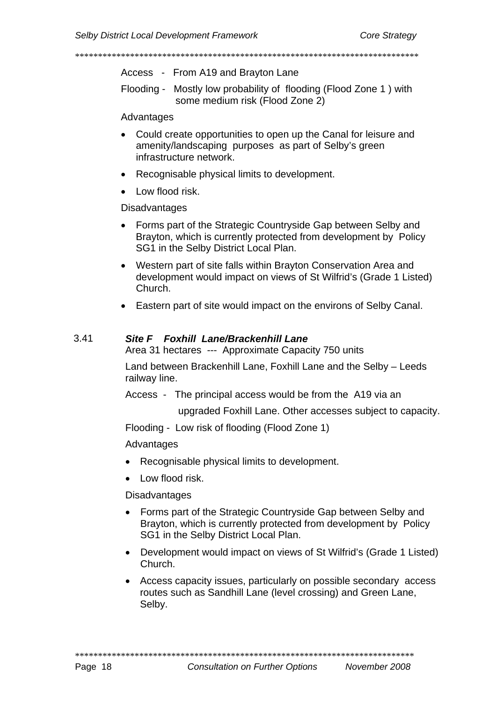Access - From A19 and Brayton Lane

Flooding - Mostly low probability of flooding (Flood Zone 1) with some medium risk (Flood Zone 2)

#### Advantages

- Could create opportunities to open up the Canal for leisure and amenity/landscaping purposes as part of Selby's green infrastructure network.
- Recognisable physical limits to development.
- Low flood risk.

**Disadvantages** 

- Forms part of the Strategic Countryside Gap between Selby and Brayton, which is currently protected from development by Policy SG1 in the Selby District Local Plan.
- Western part of site falls within Brayton Conservation Area and development would impact on views of St Wilfrid's (Grade 1 Listed) Church.
- Eastern part of site would impact on the environs of Selby Canal.

#### $3.41$ Site F Foxhill Lane/Brackenhill Lane

Area 31 hectares --- Approximate Capacity 750 units

Land between Brackenhill Lane, Foxhill Lane and the Selby - Leeds railway line.

Access - The principal access would be from the A19 via an

upgraded Foxhill Lane. Other accesses subject to capacity.

Flooding - Low risk of flooding (Flood Zone 1)

Advantages

- Recognisable physical limits to development.
- Low flood risk.

**Disadvantages** 

- Forms part of the Strategic Countryside Gap between Selby and Brayton, which is currently protected from development by Policy SG1 in the Selby District Local Plan.
- Development would impact on views of St Wilfrid's (Grade 1 Listed) Church.
- Access capacity issues, particularly on possible secondary access routes such as Sandhill Lane (level crossing) and Green Lane, Selby.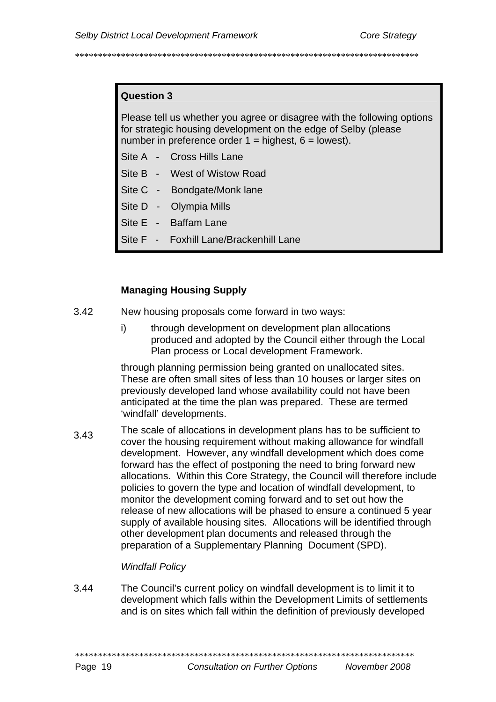# **Question 3**

Please tell us whether you agree or disagree with the following options for strategic housing development on the edge of Selby (please number in preference order  $1 =$  highest,  $6 =$  lowest).

- Site A Cross Hills Lane
- Site B West of Wistow Road
- Site C Bondgate/Monk lane
- Site D Olympia Mills
- Site E Baffam Lane
- Site F Foxhill Lane/Brackenhill Lane

#### **Managing Housing Supply**

- $3.42$ New housing proposals come forward in two ways:
	- $\mathbf{i}$ through development on development plan allocations produced and adopted by the Council either through the Local Plan process or Local development Framework.

through planning permission being granted on unallocated sites. These are often small sites of less than 10 houses or larger sites on previously developed land whose availability could not have been anticipated at the time the plan was prepared. These are termed 'windfall' developments.

The scale of allocations in development plans has to be sufficient to  $3.43$ cover the housing requirement without making allowance for windfall development. However, any windfall development which does come forward has the effect of postponing the need to bring forward new allocations. Within this Core Strategy, the Council will therefore include policies to govern the type and location of windfall development, to monitor the development coming forward and to set out how the release of new allocations will be phased to ensure a continued 5 year supply of available housing sites. Allocations will be identified through other development plan documents and released through the preparation of a Supplementary Planning Document (SPD).

#### **Windfall Policy**

3.44 The Council's current policy on windfall development is to limit it to development which falls within the Development Limits of settlements and is on sites which fall within the definition of previously developed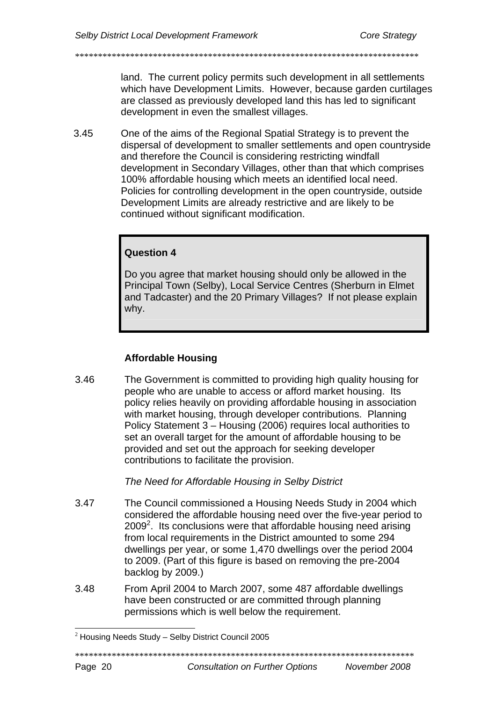land. The current policy permits such development in all settlements

\*\*\*\*\*\*\*\*\*\*\*\*\*\*\*\*\*\*\*\*\*\*\*\*\*\*\*\*\*\*\*\*\*\*\*\*\*\*\*\*\*\*\*\*\*\*\*\*\*\*\*\*\*\*\*\*\*\*\*\*\*\*\*\*\*\*\*\*\*\*\*\*\*\*\*

which have Development Limits. However, because garden curtilages are classed as previously developed land this has led to significant development in even the smallest villages.

3.45 One of the aims of the Regional Spatial Strategy is to prevent the dispersal of development to smaller settlements and open countryside and therefore the Council is considering restricting windfall development in Secondary Villages, other than that which comprises 100% affordable housing which meets an identified local need. Policies for controlling development in the open countryside, outside Development Limits are already restrictive and are likely to be continued without significant modification.

# **Question 4**

Do you agree that market housing should only be allowed in the Principal Town (Selby), Local Service Centres (Sherburn in Elmet and Tadcaster) and the 20 Primary Villages? If not please explain why.

# **Affordable Housing**

3.46 The Government is committed to providing high quality housing for people who are unable to access or afford market housing. Its policy relies heavily on providing affordable housing in association with market housing, through developer contributions. Planning Policy Statement 3 – Housing (2006) requires local authorities to set an overall target for the amount of affordable housing to be provided and set out the approach for seeking developer contributions to facilitate the provision.

# *The Need for Affordable Housing in Selby District*

- 3.47 The Council commissioned a Housing Needs Study in 2004 which considered the affordable housing need over the five-year period to  $2009<sup>2</sup>$ . Its conclusions were that affordable housing need arising from [lo](#page-22-0)cal requirements in the District amounted to some 294 dwellings per year, or some 1,470 dwellings over the period 2004 to 2009. (Part of this figure is based on removing the pre-2004 backlog by 2009.)
- 3.48 From April 2004 to March 2007, some 487 affordable dwellings have been constructed or are committed through planning permissions which is well below the requirement.

\*\*\*\*\*\*\*\*\*\*\*\*\*\*\*\*\*\*\*\*\*\*\*\*\*\*\*\*\*\*\*\*\*\*\*\*\*\*\*\*\*\*\*\*\*\*\*\*\*\*\*\*\*\*\*\*\*\*\*\*\*\*\*\*\*\*\*\*\*\*\*\*\*\*

<span id="page-22-0"></span> $2$  Housing Needs Study – Selby District Council 2005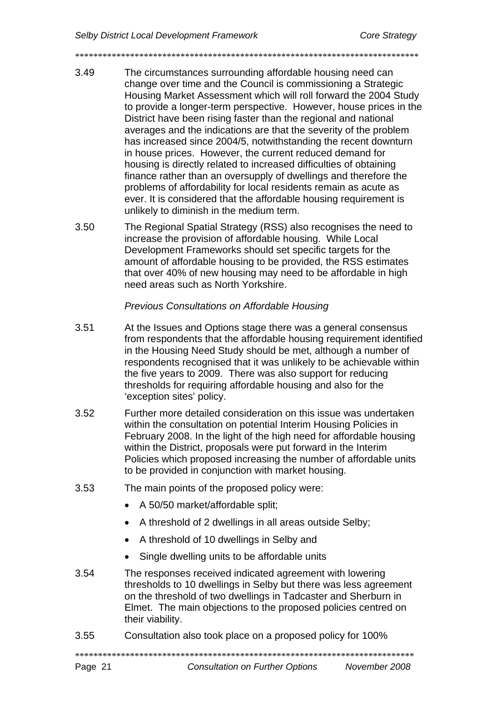3.49 The circumstances surrounding affordable housing need can change over time and the Council is commissioning a Strategic Housing Market Assessment which will roll forward the 2004 Study to provide a longer-term perspective. However, house prices in the District have been rising faster than the regional and national averages and the indications are that the severity of the problem has increased since 2004/5, notwithstanding the recent downturn in house prices. However, the current reduced demand for housing is directly related to increased difficulties of obtaining finance rather than an oversupply of dwellings and therefore the problems of affordability for local residents remain as acute as ever. It is considered that the affordable housing requirement is unlikely to diminish in the medium term.

\*\*\*\*\*\*\*\*\*\*\*\*\*\*\*\*\*\*\*\*\*\*\*\*\*\*\*\*\*\*\*\*\*\*\*\*\*\*\*\*\*\*\*\*\*\*\*\*\*\*\*\*\*\*\*\*\*\*\*\*\*\*\*\*\*\*\*\*\*\*\*\*\*\*\*

3.50 The Regional Spatial Strategy (RSS) also recognises the need to increase the provision of affordable housing. While Local Development Frameworks should set specific targets for the amount of affordable housing to be provided, the RSS estimates that over 40% of new housing may need to be affordable in high need areas such as North Yorkshire.

# *Previous Consultations on Affordable Housing*

- 3.51 At the Issues and Options stage there was a general consensus from respondents that the affordable housing requirement identified in the Housing Need Study should be met, although a number of respondents recognised that it was unlikely to be achievable within the five years to 2009. There was also support for reducing thresholds for requiring affordable housing and also for the 'exception sites' policy.
- 3.52 Further more detailed consideration on this issue was undertaken within the consultation on potential Interim Housing Policies in February 2008. In the light of the high need for affordable housing within the District, proposals were put forward in the Interim Policies which proposed increasing the number of affordable units to be provided in conjunction with market housing.
- 3.53 The main points of the proposed policy were:
	- A 50/50 market/affordable split;
	- A threshold of 2 dwellings in all areas outside Selby;
	- A threshold of 10 dwellings in Selby and
	- Single dwelling units to be affordable units
- 3.54 The responses received indicated agreement with lowering thresholds to 10 dwellings in Selby but there was less agreement on the threshold of two dwellings in Tadcaster and Sherburn in Elmet. The main objections to the proposed policies centred on their viability.
- 3.55 Consultation also took place on a proposed policy for 100%

\*\*\*\*\*\*\*\*\*\*\*\*\*\*\*\*\*\*\*\*\*\*\*\*\*\*\*\*\*\*\*\*\*\*\*\*\*\*\*\*\*\*\*\*\*\*\*\*\*\*\*\*\*\*\*\*\*\*\*\*\*\*\*\*\*\*\*\*\*\*\*\*\*\*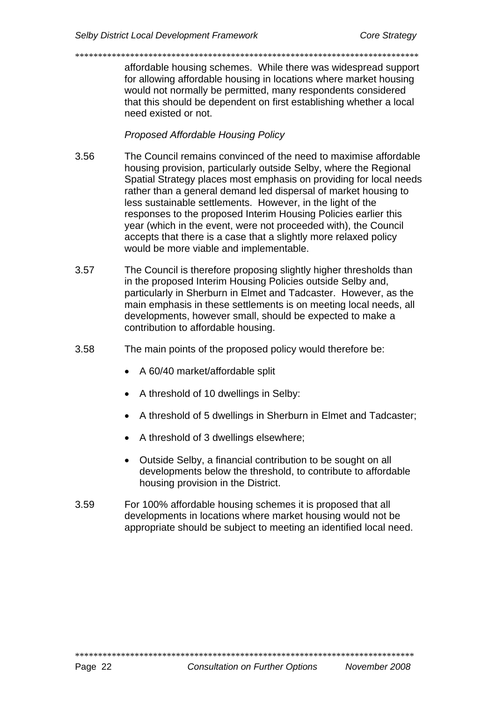affordable housing schemes. While there was widespread support for allowing affordable housing in locations where market housing would not normally be permitted, many respondents considered that this should be dependent on first establishing whether a local need existed or not.

# **Proposed Affordable Housing Policy**

- 3.56 The Council remains convinced of the need to maximise affordable housing provision, particularly outside Selby, where the Regional Spatial Strategy places most emphasis on providing for local needs rather than a general demand led dispersal of market housing to less sustainable settlements. However, in the light of the responses to the proposed Interim Housing Policies earlier this year (which in the event, were not proceeded with), the Council accepts that there is a case that a slightly more relaxed policy would be more viable and implementable.
- 3.57 The Council is therefore proposing slightly higher thresholds than in the proposed Interim Housing Policies outside Selby and, particularly in Sherburn in Elmet and Tadcaster. However, as the main emphasis in these settlements is on meeting local needs, all developments, however small, should be expected to make a contribution to affordable housing.
- 3.58 The main points of the proposed policy would therefore be:
	- A 60/40 market/affordable split
	- A threshold of 10 dwellings in Selby:
	- A threshold of 5 dwellings in Sherburn in Elmet and Tadcaster:
	- A threshold of 3 dwellings elsewhere;
	- Outside Selby, a financial contribution to be sought on all developments below the threshold, to contribute to affordable housing provision in the District.
- 3.59 For 100% affordable housing schemes it is proposed that all developments in locations where market housing would not be appropriate should be subject to meeting an identified local need.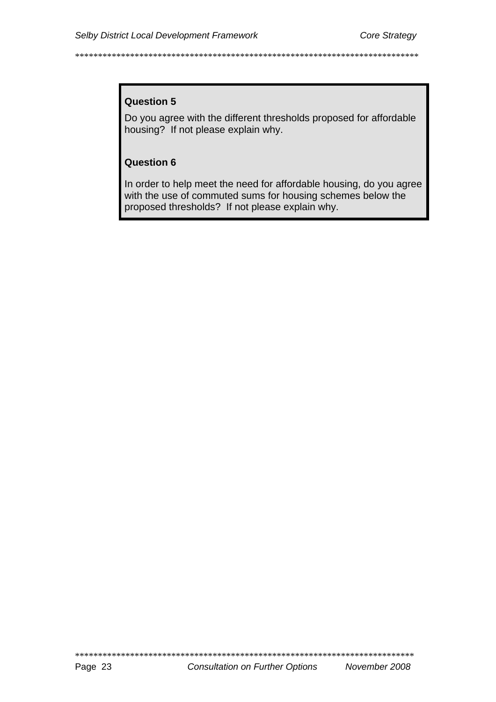## **Question 5**

Do you agree with the different thresholds proposed for affordable housing? If not please explain why.

#### **Question 6**

In order to help meet the need for affordable housing, do you agree with the use of commuted sums for housing schemes below the proposed thresholds? If not please explain why.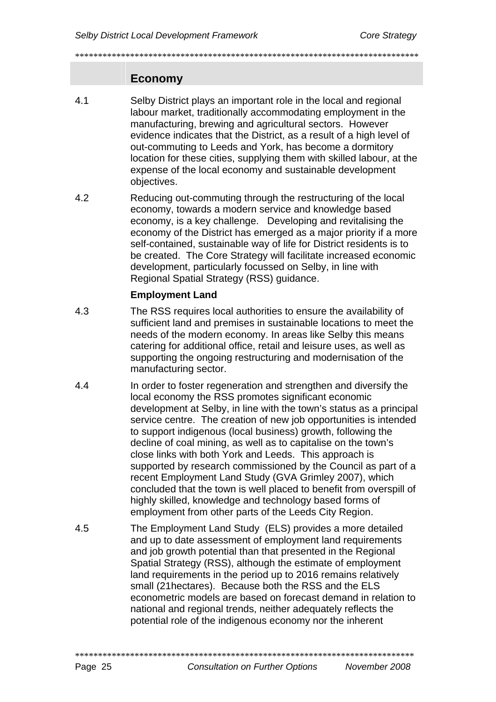\*\*\*\*\*\*\*\*\*\*\*\*\*\*\*\*\*\*\*\*\*\*\*\*\*\*\*\*\*\*\*\*\*\*\*\*\*\*\*\*\*\*\*\*\*\*\*\*\*\*\*\*\*\*\*\*\*\*\*\*\*\*\*\*\*\*\*\*\*\*\*\*\*\*\*

## **Economy**

- 4.1 Selby District plays an important role in the local and regional labour market, traditionally accommodating employment in the manufacturing, brewing and agricultural sectors. However evidence indicates that the District, as a result of a high level of out-commuting to Leeds and York, has become a dormitory location for these cities, supplying them with skilled labour, at the expense of the local economy and sustainable development objectives.
- 4.2 Reducing out-commuting through the restructuring of the local economy, towards a modern service and knowledge based economy, is a key challenge. Developing and revitalising the economy of the District has emerged as a major priority if a more self-contained, sustainable way of life for District residents is to be created. The Core Strategy will facilitate increased economic development, particularly focussed on Selby, in line with Regional Spatial Strategy (RSS) guidance.

#### **Employment Land**

- 4.3 The RSS requires local authorities to ensure the availability of sufficient land and premises in sustainable locations to meet the needs of the modern economy. In areas like Selby this means catering for additional office, retail and leisure uses, as well as supporting the ongoing restructuring and modernisation of the manufacturing sector.
- 4.4 In order to foster regeneration and strengthen and diversify the local economy the RSS promotes significant economic development at Selby, in line with the town's status as a principal service centre. The creation of new job opportunities is intended to support indigenous (local business) growth, following the decline of coal mining, as well as to capitalise on the town's close links with both York and Leeds. This approach is supported by research commissioned by the Council as part of a recent Employment Land Study (GVA Grimley 2007), which concluded that the town is well placed to benefit from overspill of highly skilled, knowledge and technology based forms of employment from other parts of the Leeds City Region.
- 4.5 The Employment Land Study (ELS) provides a more detailed and up to date assessment of employment land requirements and job growth potential than that presented in the Regional Spatial Strategy (RSS), although the estimate of employment land requirements in the period up to 2016 remains relatively small (21hectares). Because both the RSS and the ELS econometric models are based on forecast demand in relation to national and regional trends, neither adequately reflects the potential role of the indigenous economy nor the inherent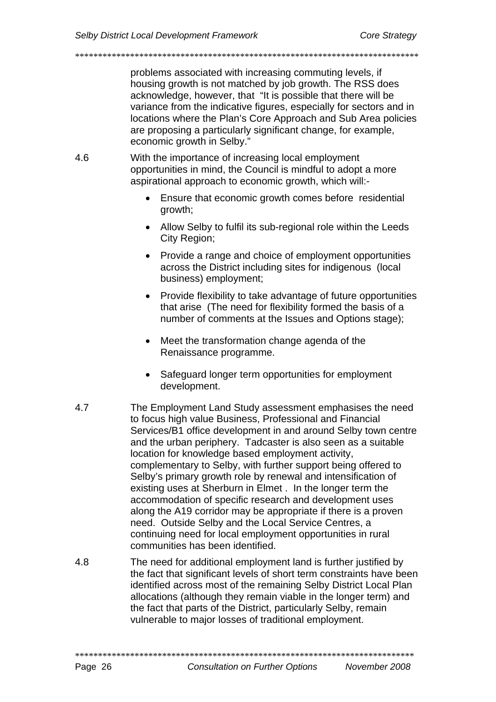problems associated with increasing commuting levels, if housing growth is not matched by job growth. The RSS does acknowledge, however, that "It is possible that there will be variance from the indicative figures, especially for sectors and in locations where the Plan's Core Approach and Sub Area policies are proposing a particularly significant change, for example, economic growth in Selby."

4.6 With the importance of increasing local employment opportunities in mind, the Council is mindful to adopt a more aspirational approach to economic growth, which will:-

\*\*\*\*\*\*\*\*\*\*\*\*\*\*\*\*\*\*\*\*\*\*\*\*\*\*\*\*\*\*\*\*\*\*\*\*\*\*\*\*\*\*\*\*\*\*\*\*\*\*\*\*\*\*\*\*\*\*\*\*\*\*\*\*\*\*\*\*\*\*\*\*\*\*\*

- Ensure that economic growth comes before residential growth;
- Allow Selby to fulfil its sub-regional role within the Leeds City Region;
- Provide a range and choice of employment opportunities across the District including sites for indigenous (local business) employment;
- Provide flexibility to take advantage of future opportunities that arise (The need for flexibility formed the basis of a number of comments at the Issues and Options stage);
- Meet the transformation change agenda of the Renaissance programme.
- Safeguard longer term opportunities for employment development.
- 4.7 The Employment Land Study assessment emphasises the need to focus high value Business, Professional and Financial Services/B1 office development in and around Selby town centre and the urban periphery. Tadcaster is also seen as a suitable location for knowledge based employment activity, complementary to Selby, with further support being offered to Selby's primary growth role by renewal and intensification of existing uses at Sherburn in Elmet . In the longer term the accommodation of specific research and development uses along the A19 corridor may be appropriate if there is a proven need. Outside Selby and the Local Service Centres, a continuing need for local employment opportunities in rural communities has been identified.
- 4.8 The need for additional employment land is further justified by the fact that significant levels of short term constraints have been identified across most of the remaining Selby District Local Plan allocations (although they remain viable in the longer term) and the fact that parts of the District, particularly Selby, remain vulnerable to major losses of traditional employment.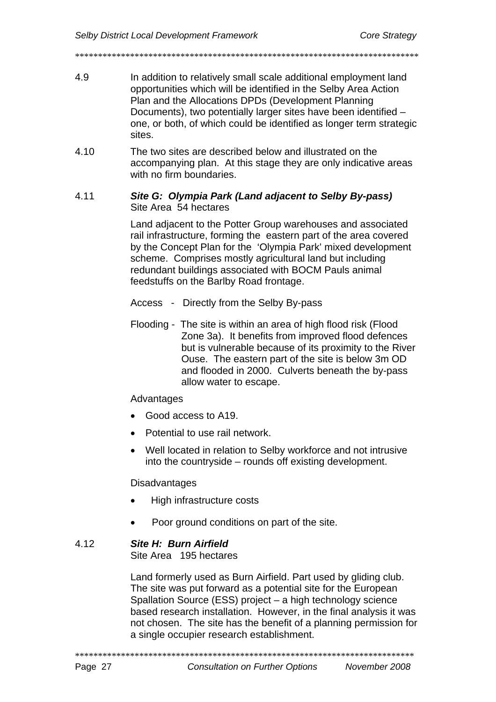4.9 In addition to relatively small scale additional employment land opportunities which will be identified in the Selby Area Action Plan and the Allocations DPDs (Development Planning Documents), two potentially larger sites have been identified – one, or both, of which could be identified as longer term strategic sites.

 $4.10$ The two sites are described below and illustrated on the accompanying plan. At this stage they are only indicative areas with no firm boundaries.

#### 4.11 Site G: Olympia Park (Land adjacent to Selby By-pass) Site Area 54 hectares

Land adiacent to the Potter Group warehouses and associated rail infrastructure, forming the eastern part of the area covered by the Concept Plan for the 'Olympia Park' mixed development scheme. Comprises mostly agricultural land but including redundant buildings associated with BOCM Pauls animal feedstuffs on the Barlby Road frontage.

Access - Directly from the Selby By-pass

Flooding - The site is within an area of high flood risk (Flood Zone 3a). It benefits from improved flood defences but is vulnerable because of its proximity to the River Ouse. The eastern part of the site is below 3m OD and flooded in 2000. Culverts beneath the by-pass allow water to escape.

#### Advantages

- Good access to A19.
- Potential to use rail network.
- Well located in relation to Selby workforce and not intrusive into the countryside – rounds off existing development.

**Disadvantages** 

- High infrastructure costs
- Poor ground conditions on part of the site.

#### 4.12 Site H: Burn Airfield

Site Area 195 hectares

Land formerly used as Burn Airfield. Part used by gliding club. The site was put forward as a potential site for the European Spallation Source (ESS) project - a high technology science based research installation. However, in the final analysis it was not chosen. The site has the benefit of a planning permission for a single occupier research establishment.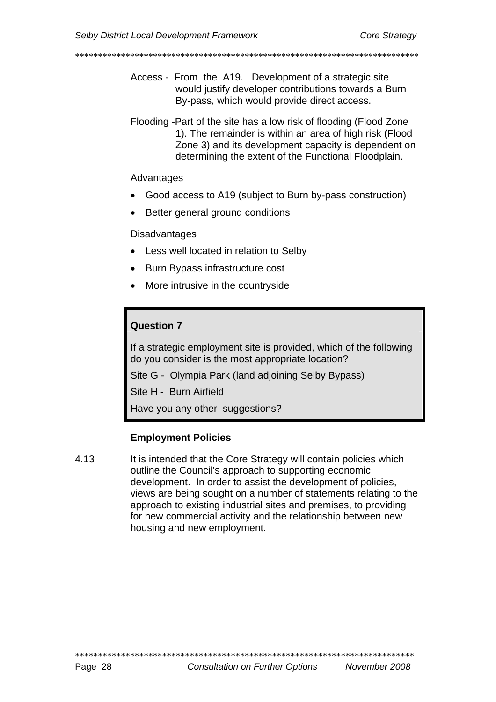- Access From the A19. Development of a strategic site would justify developer contributions towards a Burn By-pass, which would provide direct access.
- Flooding Part of the site has a low risk of flooding (Flood Zone 1). The remainder is within an area of high risk (Flood Zone 3) and its development capacity is dependent on determining the extent of the Functional Floodplain.

#### Advantages

- Good access to A19 (subject to Burn by-pass construction)
- Better general ground conditions

**Disadvantages** 

- Less well located in relation to Selby
- Burn Bypass infrastructure cost
- More intrusive in the countryside

# **Question 7**

If a strategic employment site is provided, which of the following do you consider is the most appropriate location?

Site G - Olympia Park (land adjoining Selby Bypass)

Site H - Burn Airfield

Have you any other suggestions?

#### **Employment Policies**

4.13 It is intended that the Core Strategy will contain policies which outline the Council's approach to supporting economic development. In order to assist the development of policies, views are being sought on a number of statements relating to the approach to existing industrial sites and premises, to providing for new commercial activity and the relationship between new housing and new employment.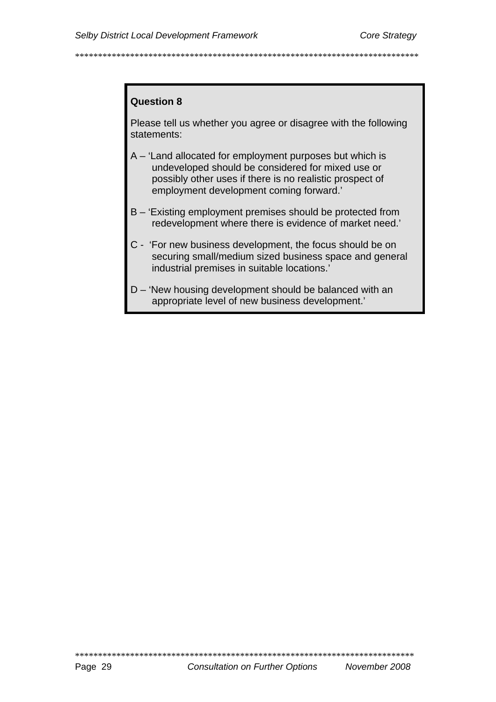### **Question 8**

Please tell us whether you agree or disagree with the following statements:

- A 'Land allocated for employment purposes but which is undeveloped should be considered for mixed use or possibly other uses if there is no realistic prospect of employment development coming forward.'
- B 'Existing employment premises should be protected from redevelopment where there is evidence of market need.'
- C 'For new business development, the focus should be on securing small/medium sized business space and general industrial premises in suitable locations.'
- D 'New housing development should be balanced with an appropriate level of new business development.'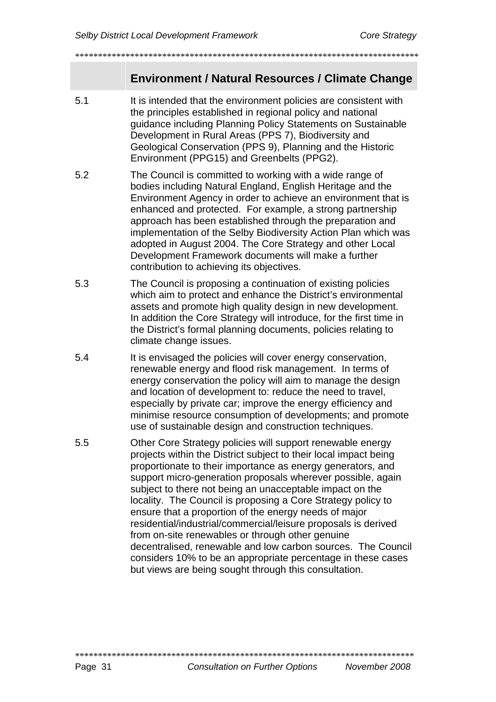# **Environment / Natural Resources / Climate Change**

5.1 It is intended that the environment policies are consistent with the principles established in regional policy and national guidance including Planning Policy Statements on Sustainable Development in Rural Areas (PPS 7), Biodiversity and Geological Conservation (PPS 9), Planning and the Historic Environment (PPG15) and Greenbelts (PPG2).

\*\*\*\*\*\*\*\*\*\*\*\*\*\*\*\*\*\*\*\*\*\*\*\*\*\*\*\*\*\*\*\*\*\*\*\*\*\*\*\*\*\*\*\*\*\*\*\*\*\*\*\*\*\*\*\*\*\*\*\*\*\*\*\*\*\*\*\*\*\*\*\*\*\*\*

- 5.2 The Council is committed to working with a wide range of bodies including Natural England, English Heritage and the Environment Agency in order to achieve an environment that is enhanced and protected. For example, a strong partnership approach has been established through the preparation and implementation of the Selby Biodiversity Action Plan which was adopted in August 2004. The Core Strategy and other Local Development Framework documents will make a further contribution to achieving its objectives.
- 5.3 The Council is proposing a continuation of existing policies which aim to protect and enhance the District's environmental assets and promote high quality design in new development. In addition the Core Strategy will introduce, for the first time in the District's formal planning documents, policies relating to climate change issues.
- 5.4 It is envisaged the policies will cover energy conservation, renewable energy and flood risk management. In terms of energy conservation the policy will aim to manage the design and location of development to: reduce the need to travel, especially by private car; improve the energy efficiency and minimise resource consumption of developments; and promote use of sustainable design and construction techniques.
- 5.5 Other Core Strategy policies will support renewable energy projects within the District subject to their local impact being proportionate to their importance as energy generators, and support micro-generation proposals wherever possible, again subject to there not being an unacceptable impact on the locality. The Council is proposing a Core Strategy policy to ensure that a proportion of the energy needs of major residential/industrial/commercial/leisure proposals is derived from on-site renewables or through other genuine decentralised, renewable and low carbon sources. The Council considers 10% to be an appropriate percentage in these cases but views are being sought through this consultation.

\*\*\*\*\*\*\*\*\*\*\*\*\*\*\*\*\*\*\*\*\*\*\*\*\*\*\*\*\*\*\*\*\*\*\*\*\*\*\*\*\*\*\*\*\*\*\*\*\*\*\*\*\*\*\*\*\*\*\*\*\*\*\*\*\*\*\*\*\*\*\*\*\*\*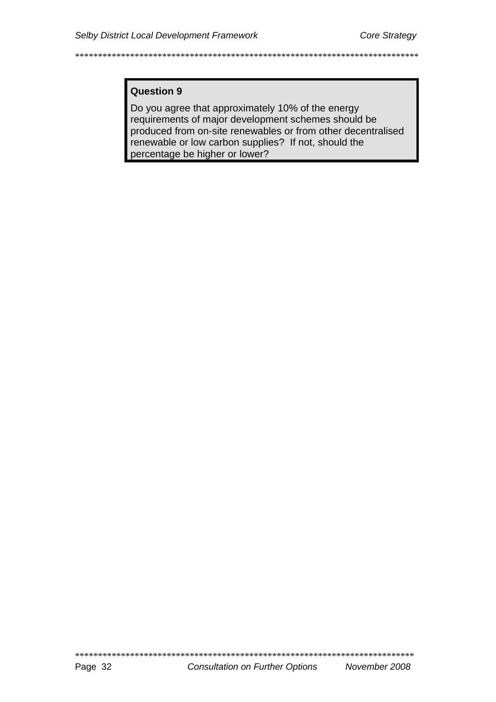## **Question 9**

Do you agree that approximately 10% of the energy requirements of major development schemes should be produced from on-site renewables or from other decentralised renewable or low carbon supplies? If not, should the percentage be higher or lower?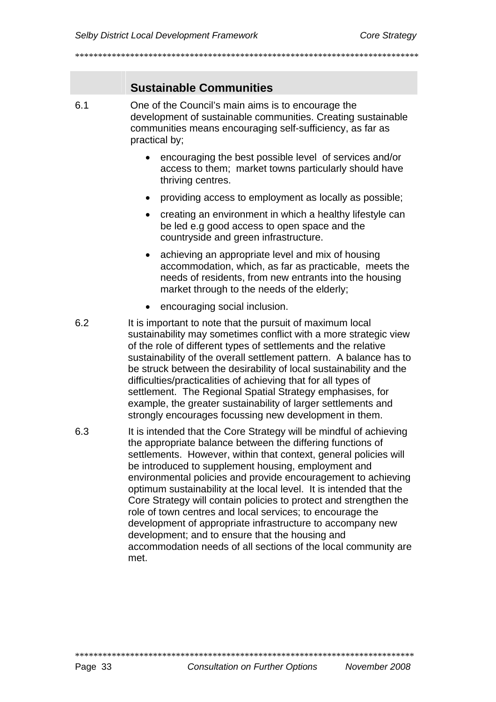# **Sustainable Communities**

- One of the Council's main aims is to encourage the  $6.1$ development of sustainable communities. Creating sustainable communities means encouraging self-sufficiency, as far as practical by:
	- encouraging the best possible level of services and/or access to them; market towns particularly should have thriving centres.
	- providing access to employment as locally as possible:
	- creating an environment in which a healthy lifestyle can be led e.g good access to open space and the countryside and green infrastructure.
	- achieving an appropriate level and mix of housing accommodation, which, as far as practicable, meets the needs of residents, from new entrants into the housing market through to the needs of the elderly;
	- encouraging social inclusion.  $\bullet$
- 6.2 It is important to note that the pursuit of maximum local sustainability may sometimes conflict with a more strategic view of the role of different types of settlements and the relative sustainability of the overall settlement pattern. A balance has to be struck between the desirability of local sustainability and the difficulties/practicalities of achieving that for all types of settlement. The Regional Spatial Strategy emphasises, for example, the greater sustainability of larger settlements and strongly encourages focussing new development in them.
- 6.3 It is intended that the Core Strategy will be mindful of achieving the appropriate balance between the differing functions of settlements. However, within that context, general policies will be introduced to supplement housing, employment and environmental policies and provide encouragement to achieving optimum sustainability at the local level. It is intended that the Core Strategy will contain policies to protect and strengthen the role of town centres and local services; to encourage the development of appropriate infrastructure to accompany new development: and to ensure that the housing and accommodation needs of all sections of the local community are met.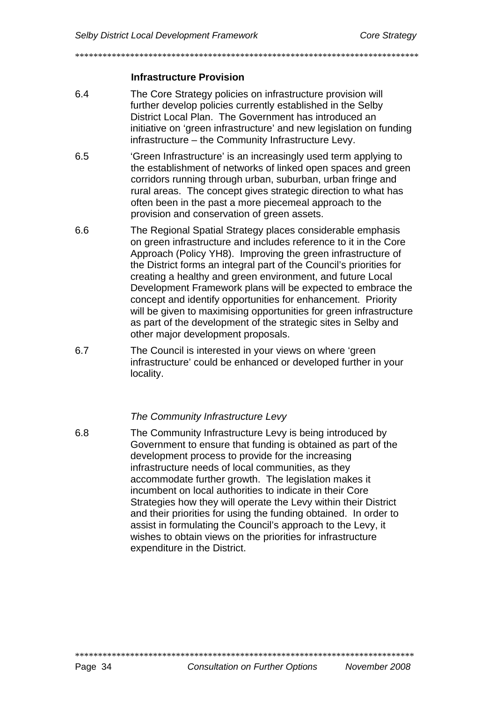#### **Infrastructure Provision**

- $6.4$ The Core Strategy policies on infrastructure provision will further develop policies currently established in the Selby District Local Plan. The Government has introduced an initiative on 'green infrastructure' and new legislation on funding infrastructure - the Community Infrastructure Levy.
- 6.5 'Green Infrastructure' is an increasingly used term applying to the establishment of networks of linked open spaces and green corridors running through urban, suburban, urban fringe and rural areas. The concept gives strategic direction to what has often been in the past a more piecemeal approach to the provision and conservation of green assets.
- 6.6 The Regional Spatial Strategy places considerable emphasis on green infrastructure and includes reference to it in the Core Approach (Policy YH8). Improving the green infrastructure of the District forms an integral part of the Council's priorities for creating a healthy and green environment, and future Local Development Framework plans will be expected to embrace the concept and identify opportunities for enhancement. Priority will be given to maximising opportunities for green infrastructure as part of the development of the strategic sites in Selby and other major development proposals.
- 6.7 The Council is interested in your views on where 'green' infrastructure' could be enhanced or developed further in your locality.

#### The Community Infrastructure Levy

 $6.8$ The Community Infrastructure Levy is being introduced by Government to ensure that funding is obtained as part of the development process to provide for the increasing infrastructure needs of local communities, as they accommodate further growth. The legislation makes it incumbent on local authorities to indicate in their Core Strategies how they will operate the Levy within their District and their priorities for using the funding obtained. In order to assist in formulating the Council's approach to the Levy, it wishes to obtain views on the priorities for infrastructure expenditure in the District.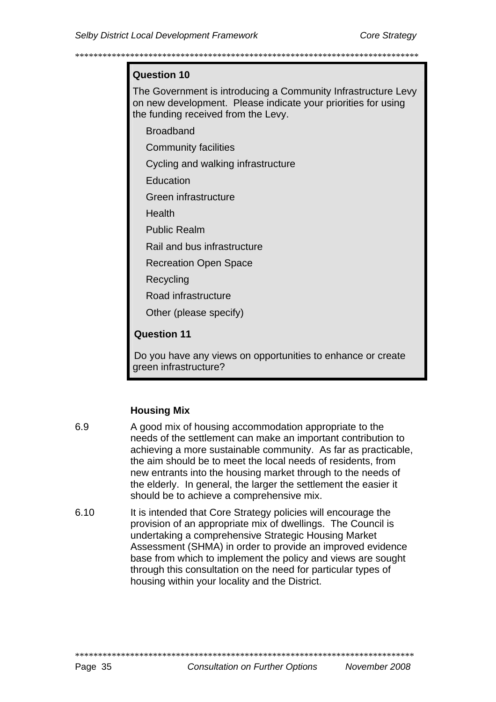#### Question 10

The Government is introducing a Community Infrastructure Levy on new development. Please indicate your priorities for using the funding received from the Levy.

**Broadband** 

**Community facilities** 

Cycling and walking infrastructure

**Education** 

Green infrastructure

Health

Public Realm

Rail and bus infrastructure

**Recreation Open Space** 

Recycling

Road infrastructure

Other (please specify)

## **Question 11**

Do you have any views on opportunities to enhance or create green infrastructure?

#### **Housing Mix**

- 6.9 A good mix of housing accommodation appropriate to the needs of the settlement can make an important contribution to achieving a more sustainable community. As far as practicable, the aim should be to meet the local needs of residents, from new entrants into the housing market through to the needs of the elderly. In general, the larger the settlement the easier it should be to achieve a comprehensive mix.
- 6.10 It is intended that Core Strategy policies will encourage the provision of an appropriate mix of dwellings. The Council is undertaking a comprehensive Strategic Housing Market Assessment (SHMA) in order to provide an improved evidence base from which to implement the policy and views are sought through this consultation on the need for particular types of housing within your locality and the District.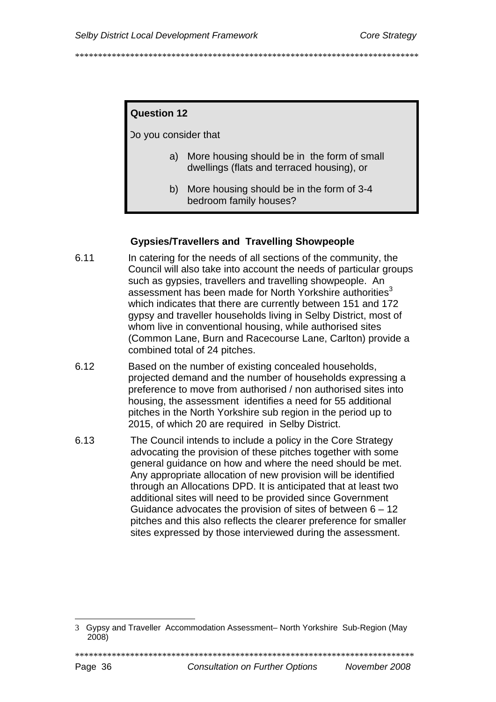# **Question 12**

Do you consider that

- a) More housing should be in the form of small dwellings (flats and terraced housing), or
- b) More housing should be in the form of 3-4 bedroom family houses?

## **Gypsies/Travellers and Travelling Showpeople**

- 6.11 In catering for the needs of all sections of the community, the Council will also take into account the needs of particular groups such as gypsies, travellers and travelling showpeople. An assessment has been made for North Yorkshire authorities<sup>3</sup> which indicates that there are currently between 151 and 172 gypsy and traveller households living in Selby District, most of whom live in conventional housing, while authorised sites (Common Lane, Burn and Racecourse Lane, Carlton) provide a combined total of 24 pitches.
- 6.12 Based on the number of existing concealed households, projected demand and the number of households expressing a preference to move from authorised / non authorised sites into housing, the assessment identifies a need for 55 additional pitches in the North Yorkshire sub region in the period up to 2015, of which 20 are required in Selby District.
- 6.13 The Council intends to include a policy in the Core Strategy advocating the provision of these pitches together with some general quidance on how and where the need should be met. Any appropriate allocation of new provision will be identified through an Allocations DPD. It is anticipated that at least two additional sites will need to be provided since Government Guidance advocates the provision of sites of between  $6 - 12$ pitches and this also reflects the clearer preference for smaller sites expressed by those interviewed during the assessment.

<span id="page-38-0"></span><sup>3</sup> Gypsy and Traveller Accommodation Assessment- North Yorkshire Sub-Region (May 2008)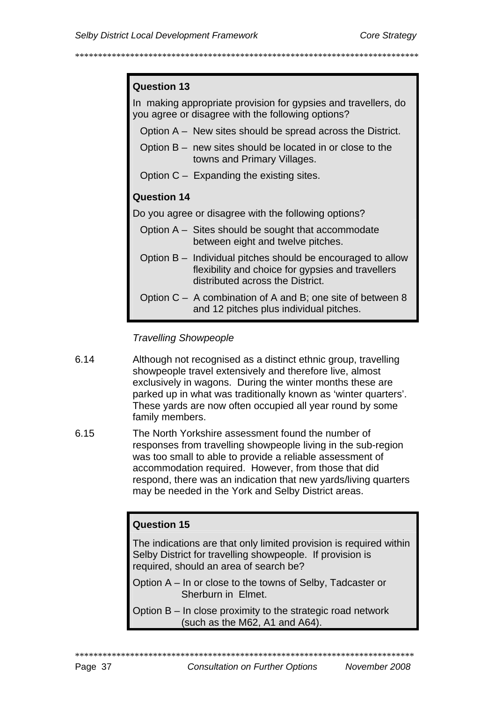#### Question 13

In making appropriate provision for gypsies and travellers, do you agree or disagree with the following options?

- Option A New sites should be spread across the District.
- Option  $B -$  new sites should be located in or close to the towns and Primary Villages.
- Option  $C -$  Expanding the existing sites.

# Question 14

Do you agree or disagree with the following options?

- Option A Sites should be sought that accommodate between eight and twelve pitches.
- Option B Individual pitches should be encouraged to allow flexibility and choice for gypsies and travellers distributed across the District.
- Option  $C A$  combination of A and B; one site of between 8 and 12 pitches plus individual pitches.

#### **Travelling Showpeople**

- 6.14 Although not recognised as a distinct ethnic group, travelling showpeople travel extensively and therefore live, almost exclusively in wagons. During the winter months these are parked up in what was traditionally known as 'winter quarters'. These yards are now often occupied all year round by some family members.
- 6.15 The North Yorkshire assessment found the number of responses from travelling showpeople living in the sub-region was too small to able to provide a reliable assessment of accommodation required. However, from those that did respond, there was an indication that new yards/living quarters may be needed in the York and Selby District areas.

#### Question 15

The indications are that only limited provision is required within Selby District for travelling showpeople. If provision is required, should an area of search be?

- Option A In or close to the towns of Selby, Tadcaster or Sherburn in Elmet.
- Option B In close proximity to the strategic road network (such as the M62, A1 and A64).